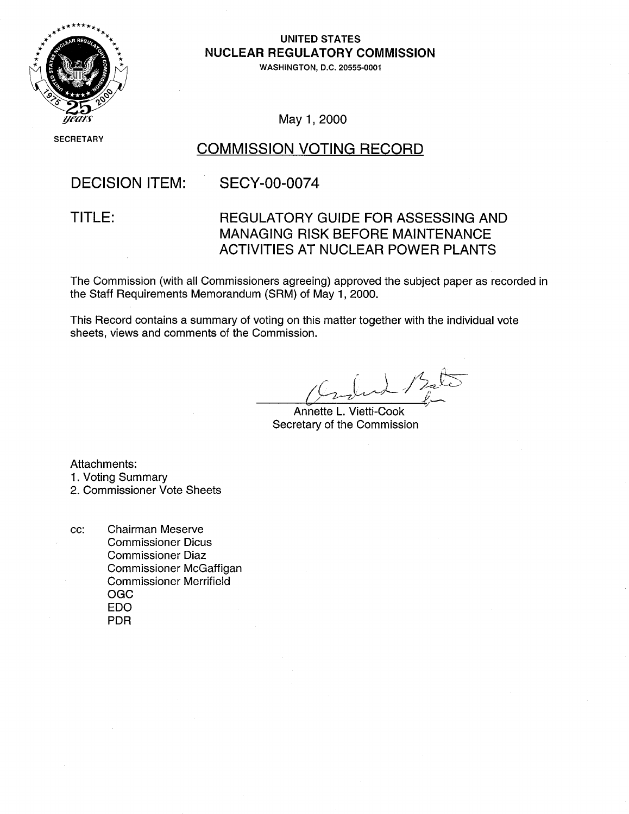

#### **UNITED STATES NUCLEAR** REGULATORY **COMMISSION**

**WASHINGTON, D.C. 20555-0001** 

May 1, 2000

**SEC** CRETARY

#### COMMISSION VOTING RECORD

### DECISION ITEM: SECY-00-0074

#### TITLE: REGULATORY GUIDE FOR ASSESSING AND MANAGING RISK BEFORE MAINTENANCE ACTIVITIES AT NUCLEAR POWER PLANTS

The Commission (with all Commissioners agreeing) approved the subject paper as recorded in the Staff Requirements Memorandum (SRM) of May 1, 2000.

This Record contains a summary of voting on this matter together with the individual vote sheets, views and comments of the Commission.

Annette L. Vietti-Cook Secretary of the Commission

Attachments:

1. Voting Summary

2. Commissioner Vote Sheets

cc: Chairman Meserve Commissioner Dicus Commissioner Diaz Commissioner McGaffigan Commissioner Merrifield OGC EDO PDR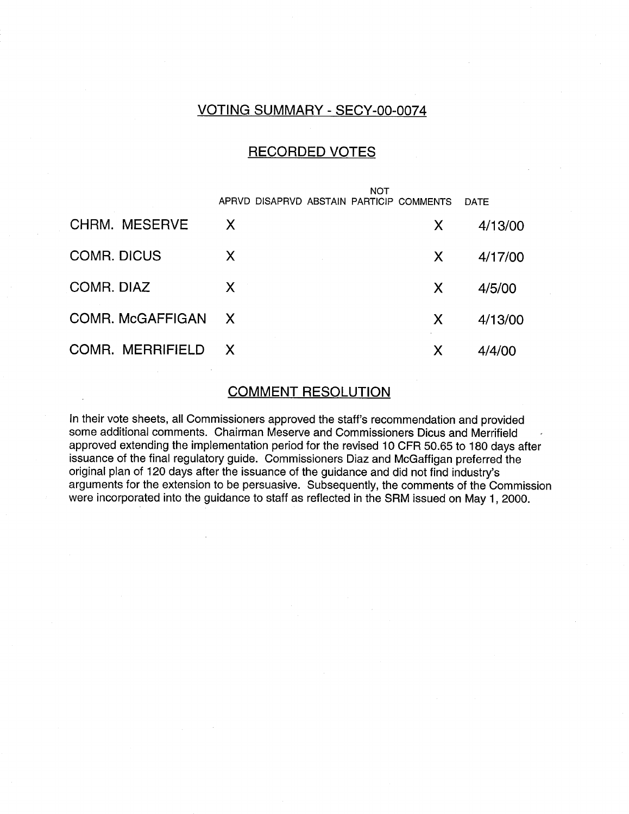#### VOTING SUMMARY - SECY-00-0074

#### RECORDED VOTES

|                      | <b>NOT</b>   |                                          |   |         |
|----------------------|--------------|------------------------------------------|---|---------|
|                      |              | APRVD DISAPRVD ABSTAIN PARTICIP COMMENTS |   | DATE    |
| <b>CHRM. MESERVE</b> | $\mathsf{X}$ |                                          | X | 4/13/00 |
| <b>COMR. DICUS</b>   | X            |                                          | X | 4/17/00 |
| COMR. DIAZ           | X            |                                          | X | 4/5/00  |
| COMR. McGAFFIGAN     | $\mathsf{X}$ |                                          | X | 4/13/00 |
| COMR. MERRIFIELD     | $\mathbf{X}$ |                                          | X | 4/4/00  |

#### COMMENT RESOLUTION

In their vote sheets, all Commissioners approved the staff's recommendation and provided some additional comments. Chairman Meserve and Commissioners Dicus and Merrifield approved extending the implementation period for the revised 10 CFR 50.65 to 180 days after issuance of the final regulatory guide. Commissioners Diaz and McGaffigan preferred the original plan of 120 days after the issuance of the guidance and did not find industry's arguments for the extension to be persuasive. Subsequently, the comments of the Commission were incorporated into the guidance to staff as reflected in the SRM issued on May 1, 2000.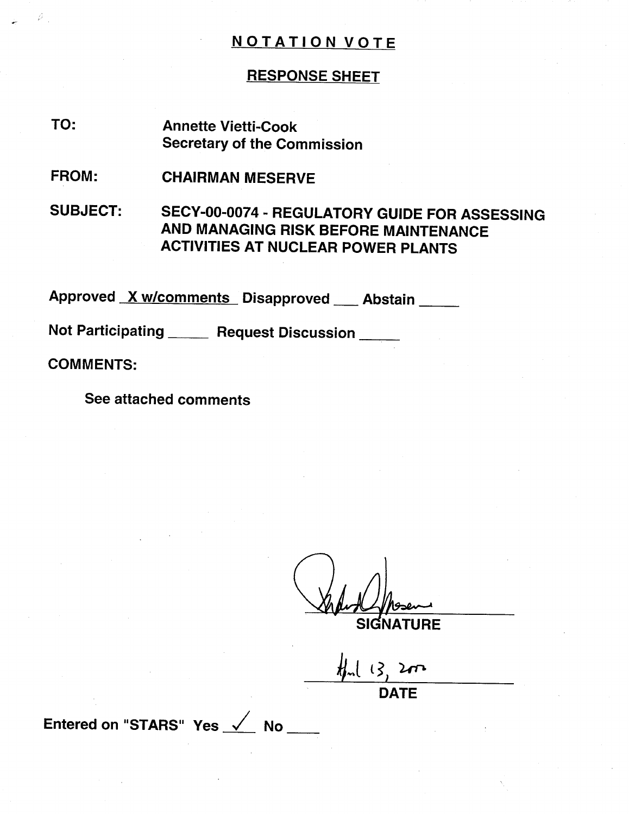#### RESPONSE SHEET

- Annette Vietti-Cook Secretary of the Commission TO:
- CHAIRMAN MESERVE FROM:

SUBJECT: SECY-00-0074 - REGULATORY GUIDE FOR ASSESSING AND MANAGING RISK BEFORE MAINTENANCE ACTIVITIES AT NUCLEAR POWER PLANTS

Approved <u>X w/comments D</u>isapproved \_\_\_ Abstair

Not Participating \_\_\_\_\_ Request Discussion \_\_\_\_

COMMENTS:

G

See attached comments

**SIGNATURE** 

DATE

Entered on "STARS" Yes  $\checkmark$  No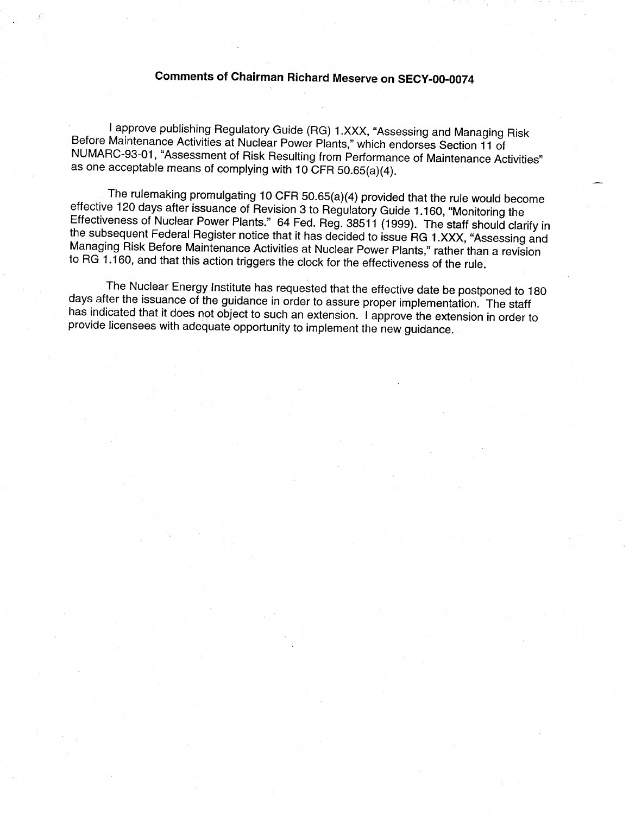## Comments of Chairman Richard Meserve on SECY-O0-0074

I approve publishing Regulatory Guide (RG) 1.XXX, "Assessing and Managing Risk<br>Before Maintenance Activities at Nuclear Power Plants," which endorses Section 11 of<br>NUMARC-93-01, "Assessment of Risk Resulting from Performan as one acceptable means of complying with 10 CFR 50.65(a)(4).

The rulemaking promulgating 10 CFR 50.65(a)(4) provided that the rule would become<br>effective 120 days after issuance of Revision 3 to Regulatory Guide 1.160, "Monitoring the<br>Effectiveness of Nuclear Power Plants." 64 Fed. to RG 1.160, and that this action triggers the clock for the effectiveness of the rule.

The Nuclear Energy Institute has requested that the effective date be postponed to 180 days after the issuance of the guidance in order to assure proper implementation. The staff has indicated that it does not object to su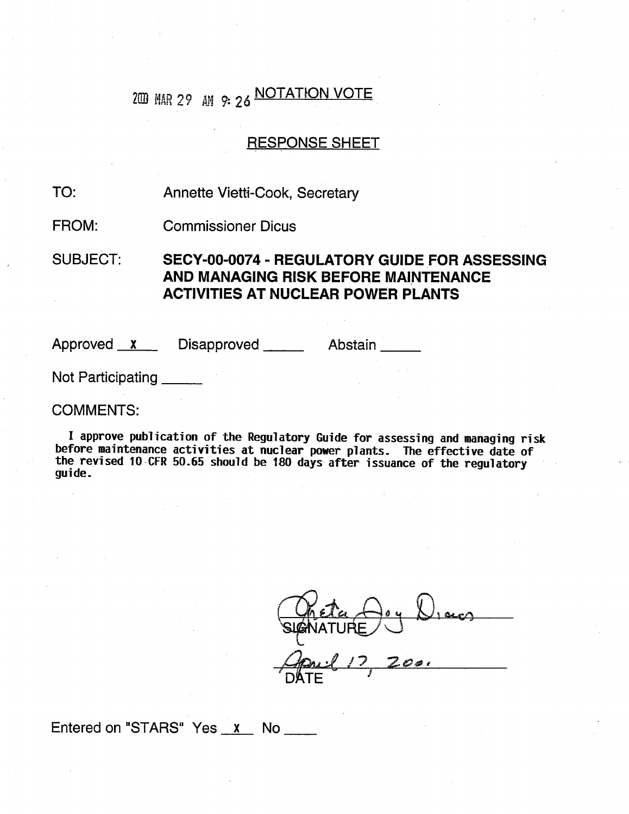## 200 MAR 29 AM 9: 26 NOTATION VOTE

#### RESPONSE SHEET

#### Annette Vietti-Cook, Secretary TO:

Commissioner Dicus FROM:

SUBJECT: SECY-00-0074 - REGULATORY **GUIDE** FOR **ASSESSING AND MANAGING** RISK BEFORE **MAINTENANCE ACTIVITIES AT NUCLEAR** POWER **PLANTS**

Approved <u>x</u> Disapproved Abstair

Not Participating \_\_\_\_\_

COMMENTS:

I approve publication of the Regulatory Guide for assessing and managing risk before maintenance activities at nuclear power plants. The effective date of the revised 10-CFR 50.65 should be 180 days after issuance of the regulatory guide.

**zý&iAT k,)** ' **DATE** / *I Q&4;eý*

Entered on "STARS" Yes x No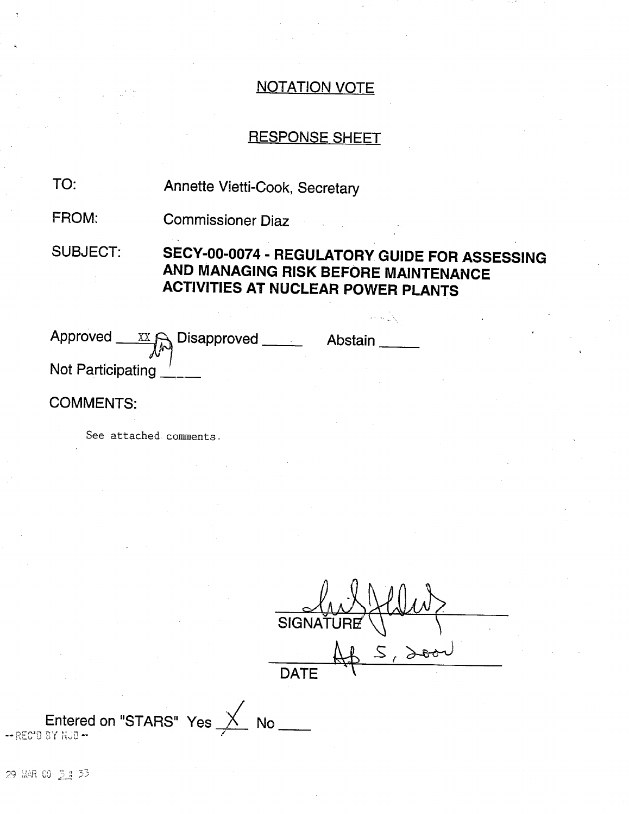#### RESPONSE SHEET

Annette Vietti-Cook, Secretary TO:

Commissioner Diaz FROM:

SUBJECT: SECY-00-0074 - REGULATORY **GUIDE** FOR **ASSESSING AND MANAGING** RISK BEFORE **MAINTENANCE ACTIVITIES AT NUCLEAR** POWER **PLANTS**

| Approved          | $\begin{picture}(150,10) \put(0,0){\line(1,0){15}} \put(15,0){\line(1,0){15}} \put(15,0){\line(1,0){15}} \put(15,0){\line(1,0){15}} \put(15,0){\line(1,0){15}} \put(15,0){\line(1,0){15}} \put(15,0){\line(1,0){15}} \put(15,0){\line(1,0){15}} \put(15,0){\line(1,0){15}} \put(15,0){\line(1,0){15}} \put(15,0){\line(1,0){15}} \put(15,0){\line($ | Abstain |  |
|-------------------|-----------------------------------------------------------------------------------------------------------------------------------------------------------------------------------------------------------------------------------------------------------------------------------------------------------------------------------------------------|---------|--|
| Not Participating |                                                                                                                                                                                                                                                                                                                                                     |         |  |

#### COMMENTS:

See attached comments.

SIGNATURE ( **DATE**  $\left(\left\lfloor \frac{\rho}{\alpha}\right\rfloor\right)$ 

**Entered on "STARS" Yes X No**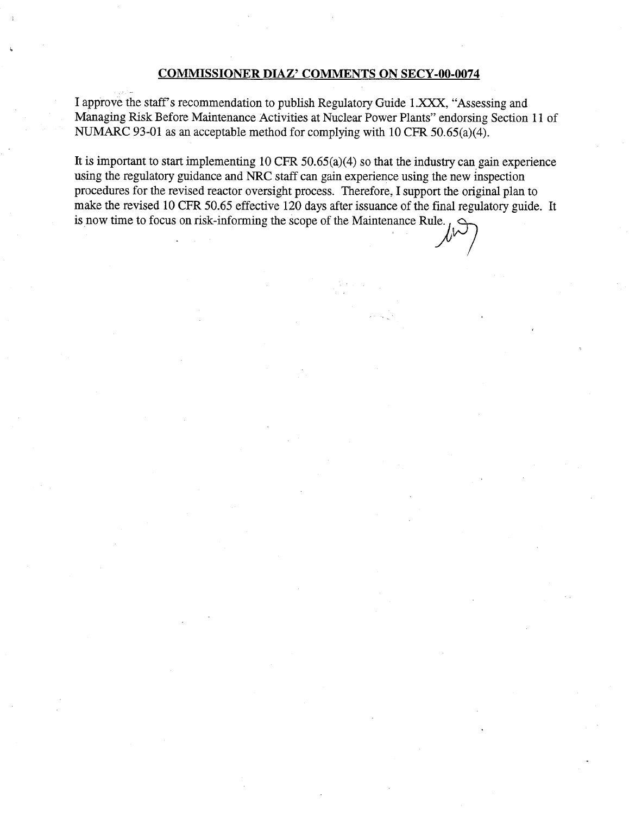#### **COMMISSIONER DIAZ' COMMENTS ON** SECY-00-0074

I approve the staff's recommendation to publish Regulatory Guide 1.XXX, "Assessing and Managing Risk Before Maintenance Activities at Nuclear Power Plants" endorsing Section 11 of NUMARC 93-01 as an acceptable method for complying with 10 CFR 50.65(a)(4).

It is important to start implementing 10 CFR 50.65(a)(4) so that the industry can gain experience using the regulatory guidance and NRC staff can gain experience using the new inspection procedures for the revised reactor oversight process. Therefore, I support the original plan to make the revised 10 CFR 50.65 effective 120 days after issuance of the final regulatory guide. It is now time to focus on risk-informing the scope of the Maintenance Rule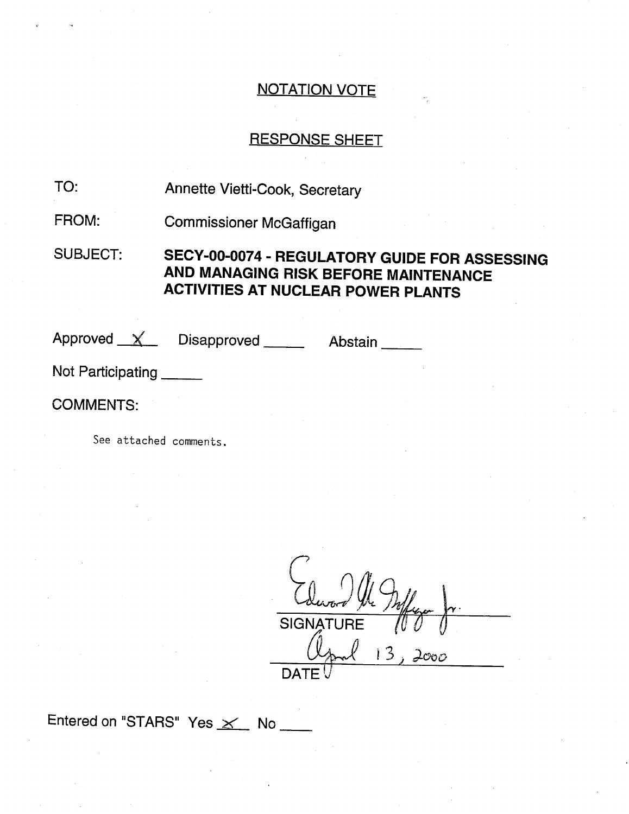#### RESPONSE SHEET

Annette Vietti-Cook, Secretary TO:

Commissioner McGaffigan FROM:

SUBJECT: SECY-00-0074 - REGULATORY **GUIDE** FOR **ASSESSING AND MANAGING** RISK BEFORE **MAINTENANCE ACTIVITIES AT NUCLEAR** POWER **PLANTS**

Approved X Disapproved Abstain

Not Participating

COMMENTS:

See attached comments.

Edw **,** 54,ord the Maffage SIGNATURE *(6* **0** 0  $13,2000$  $\mathsf{DATE}_1$ 

Entered on "STARS" Yes  $\times$  No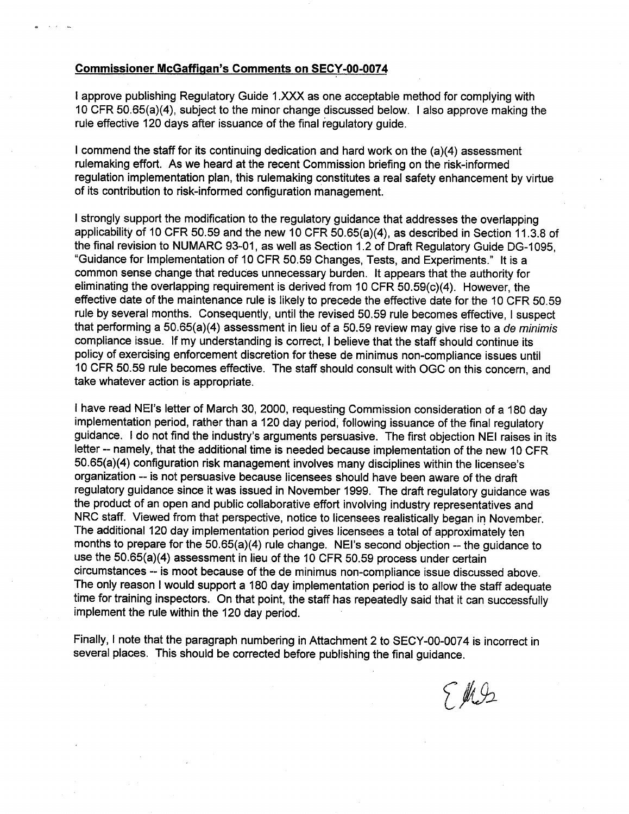#### Commissioner McGaffigan's Comments on SECY-00-0074

I approve publishing Regulatory Guide 1 .XXX as one acceptable method for complying with 10 CFR 50.65(a)(4), subject to the minor change discussed below. I also approve making the rule effective 120 days after issuance of the final regulatory guide.

I commend the staff for its continuing dedication and hard work on the (a)(4) assessment rulemaking effort. As we heard at the recent Commission briefing on the risk-informed regulation implementation plan, this rulemaking constitutes a real safety enhancement by virtue of its contribution to risk-informed configuration management.

I strongly support the modification to the regulatory guidance that addresses the overlapping applicability of 10 CFR 50.59 and the new 10 CFR 50.65(a)(4), as described in Section 11.3.8 of the final revision to NUMARC 93-01, as well as Section 1.2 of Draft Regulatory Guide DG-1095, "Guidance for Implementation of 10 CFR 50.59 Changes, Tests, and Experiments." It is a common sense change that reduces unnecessary burden. It appears that the authority for eliminating the overlapping requirement is derived from 10 CFR 50.59(c)(4). However, the effective date of the maintenance rule is likely to precede the effective date for the 10 CFR 50.59 rule by several months. Consequently, until the revised 50.59 rule becomes effective, I suspect that performing a 50.65(a)(4) assessment in lieu of a 50.59 review may give rise to a *de minimis*  compliance issue. If my understanding is correct, I believe that the staff should continue its policy of exercising enforcement discretion for these de minimus non-compliance issues until 10 CFR 50.59 rule becomes effective. The staff should consult with OGC on this concern, and take whatever action is appropriate.

I have read NEI's letter of March 30, 2000, requesting Commission consideration of a 180 day implementation period, rather than a 120 day period, following issuance of the final regulatory guidance. I do not find the industry's arguments persuasive. The first objection NEI raises in its letter -- namely, that the additional time is needed because implementation of the new 10 CFR 50.65(a)(4) configuration risk management involves many disciplines within the licensee's organization -- is not persuasive because licensees should have been aware of the draft regulatory guidance since it was issued in November 1999. The draft regulatory guidance was the product of an open and public collaborative effort involving industry representatives and NRC staff. Viewed from that perspective, notice to licensees realistically began in November. The additional 120 day implementation period gives licensees a total of approximately ten months to prepare for the 50.65(a)(4) rule change. NEI's second objection -- the guidance to use the 50.65(a)(4) assessment in lieu of the 10 CFR 50.59 process under certain circumstances -- is moot because of the de minimus non-compliance issue discussed above. The only reason I would support a 180 day implementation period is to allow the staff adequate time for training inspectors. On that point, the staff has repeatedly said that it can successfully implement the rule within the 120 day period.

Finally, I note that the paragraph numbering in Attachment 2 to SECY-00-0074 is incorrect in several places. This should be corrected before publishing the final guidance.

T M.S.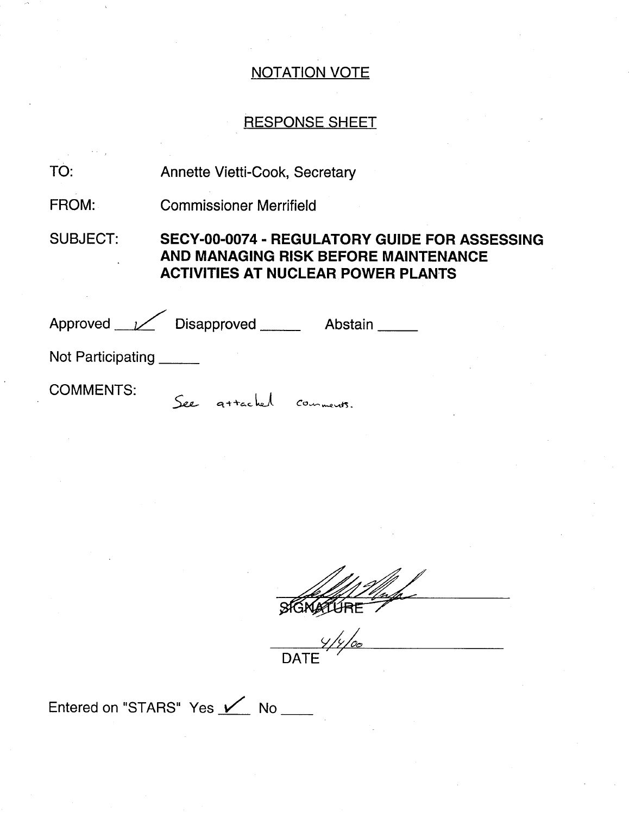## RESPONSE SHEET

| TO:               | <b>Annette Vietti-Cook, Secretary</b>                                                                                                     |  |
|-------------------|-------------------------------------------------------------------------------------------------------------------------------------------|--|
| <b>FROM:</b>      | <b>Commissioner Merrifield</b>                                                                                                            |  |
| <b>SUBJECT:</b>   | <b>SECY-00-0074 - REGULATORY GUIDE FOR ASSESSING</b><br>AND MANAGING RISK BEFORE MAINTENANCE<br><b>ACTIVITIES AT NUCLEAR POWER PLANTS</b> |  |
|                   | Approved <u>V</u> Disapproved<br>Abstain _____                                                                                            |  |
| Not Participating |                                                                                                                                           |  |
| <b>COMMENTS:</b>  | See attached                                                                                                                              |  |

DATE

Entered on "STARS" Yes / No \_\_\_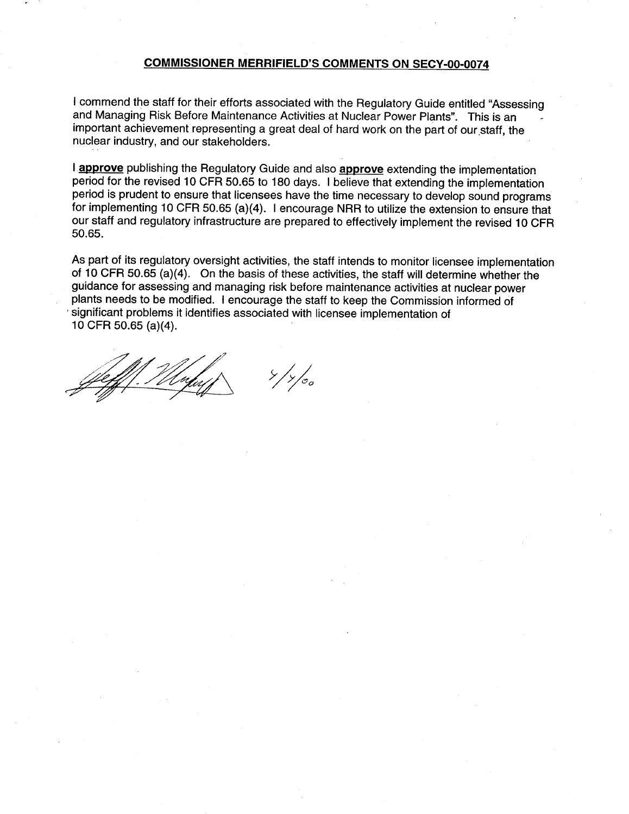#### **COMMISSIONER** MERRIFIELD'S **COMMENTS ON** SECY-00-0074

I commend the staff for their efforts associated with the Regulatory Guide entitled "Assessing<br>and Managing Risk Before Maintenance Activities at Nuclear Power Plants". This is an important achievement representing a great deal of hard work on the part of our staff, the nuclear industry, and our stakeholders.

I approve publishing the Regulatory Guide and also approve extending the implementation period for the revised 10 CFR 50.65 to 180 days. **I** believe that extending the implementation period is prudent to ensure that licensees have the time necessary to develop sound programs for implementing 10 CFR 50.65 (a)(4). I encourage NRR to utilize the extension to ensure that our staff and regulatory infrastructure are prepared to effectively implement the revised 10 CFR 50.65.

As part of its regulatory oversight activities, the staff intends to monitor licensee implementation of 10 CFR 50.65 (a)(4). On the basis of these activities, the staff will determine whether the guidance for assessing and managing risk before maintenance activities at nuclear power plants needs to be modified. I encourage the staff to keep the Commission informed of significant problems it identifies associated with licensee implementation of 10 CFR 50.65 (a)(4).

**-- <sup>5</sup> 9xJ**